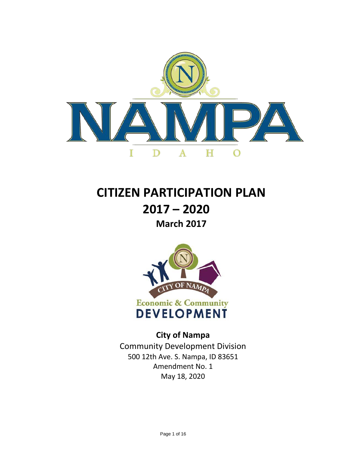

# **CITIZEN PARTICIPATION PLAN 2017 – 2020 March 2017**



**City of Nampa** Community Development Division 500 12th Ave. S. [Nampa, ID 83651](http://fcgov.com/socialsustainability) Amendment No. 1 May 18, 2020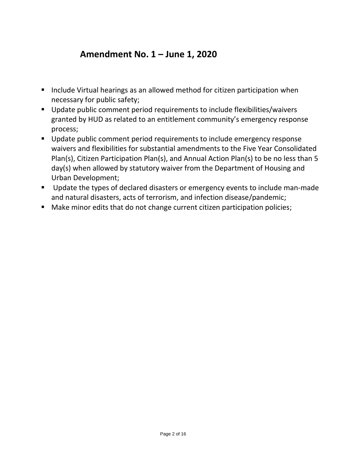## **Amendment No. 1 – June 1, 2020**

- Include Virtual hearings as an allowed method for citizen participation when necessary for public safety;
- Update public comment period requirements to include flexibilities/waivers granted by HUD as related to an entitlement community's emergency response process;
- Update public comment period requirements to include emergency response waivers and flexibilities for substantial amendments to the Five Year Consolidated Plan(s), Citizen Participation Plan(s), and Annual Action Plan(s) to be no less than 5 day(s) when allowed by statutory waiver from the Department of Housing and Urban Development;
- Update the types of declared disasters or emergency events to include man-made and natural disasters, acts of terrorism, and infection disease/pandemic;
- Make minor edits that do not change current citizen participation policies;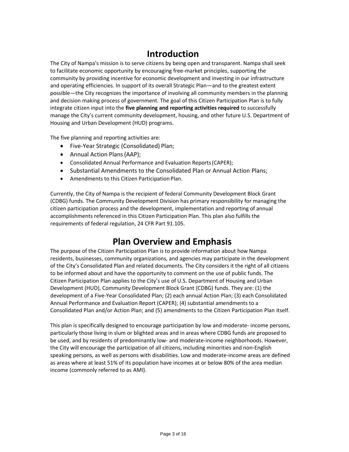## **Introduction**

The City of Nampa's mission is to serve citizens by being open and transparent. Nampa shall seek to facilitate economic opportunity by encouraging free-market principles, supporting the community by providing incentive for economic development and investing in our infrastructure and operating efficiencies. In support of its overall Strategic Plan—and to the greatest extent possible—the City recognizes the importance of involving all community members in the planning and decision making process of government. The goal of this Citizen Participation Plan is to fully integrate citizen input into the **five planning and reporting activities required** to successfully manage the City's current community development, housing, and other future U.S. Department of Housing and Urban Development (HUD) programs.

The five planning and reporting activities are:

- Five-Year Strategic (Consolidated) Plan;
- Annual Action Plans(AAP);
- Consolidated Annual Performance and Evaluation Reports(CAPER);
- Substantial Amendments to the Consolidated Plan or Annual Action Plans;
- Amendments to this Citizen Participation Plan.

Currently, the City of Nampa is the recipient of federal Community Development Block Grant (CDBG) funds. The Community Development Division has primary responsibility for managing the citizen participation process and the development, implementation and reporting of annual accomplishments referenced in this Citizen Participation Plan. This plan also fulfills the requirements of federal regulation, 24 CFR Part 91.105.

## **Plan Overview and Emphasis**

The purpose of the Citizen Participation Plan is to provide information about how Nampa residents, businesses, community organizations, and agencies may participate in the development of the City's Consolidated Plan and related documents. The City considers it the right of all citizens to be informed about and have the opportunity to comment on the use of public funds. The Citizen Participation Plan applies to the City's use of U.S. Department of Housing and Urban Development (HUD), Community Development Block Grant (CDBG) funds. They are: (1) the development of a Five-Year Consolidated Plan; (2) each annual Action Plan; (3) each Consolidated Annual Performance and Evaluation Report (CAPER); (4) substantial amendments to a Consolidated Plan and/or Action Plan; and (5) amendments to the Citizen Participation Plan itself.

This plan is specifically designed to encourage participation by low and moderate- income persons, particularly those living in slum or blighted areas and in areas where CDBG funds are proposed to be used, and by residents of predominantly low- and moderate-income neighborhoods. However, the City will encourage the participation of all citizens, including minorities and non-English speaking persons, as well as persons with disabilities. Low and moderate-income areas are defined as areas where at least 51% of its population have incomes at or below 80% of the area median income (commonly referred to as AMI).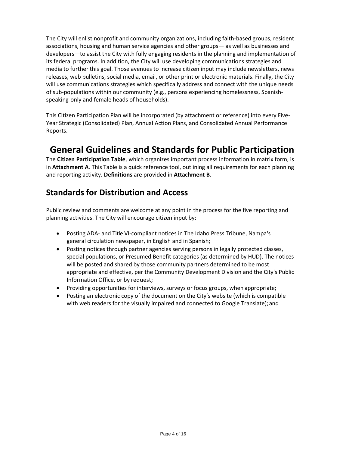The City will enlist nonprofit and community organizations, including faith-based groups, resident associations, housing and human service agencies and other groups— as well as businesses and developers—to assist the City with fully engaging residents in the planning and implementation of its federal programs. In addition, the City will use developing communications strategies and media to further this goal. Those avenues to increase citizen input may include newsletters, news releases, web bulletins, social media, email, or other print or electronic materials. Finally, the City will use communications strategies which specifically address and connect with the unique needs of sub-populations within our community (e.g., persons experiencing homelessness, Spanishspeaking-only and female heads of households).

This Citizen Participation Plan will be incorporated (by attachment or reference) into every Five-Year Strategic (Consolidated) Plan, Annual Action Plans, and Consolidated Annual Performance Reports.

## **General Guidelines and Standards for Public Participation**

The **Citizen Participation Table**, which organizes important process information in matrix form, is in **Attachment A**. This Table is a quick reference tool, outlining all requirements for each planning and reporting activity. **Definitions** are provided in **Attachment B**.

## **Standards for Distribution and Access**

Public review and comments are welcome at any point in the process for the five reporting and planning activities. The City will encourage citizen input by:

- Posting ADA- and Title VI-compliant notices in The Idaho Press Tribune, Nampa's general circulation newspaper, in English and in Spanish;
- Posting notices through partner agencies serving persons in legally protected classes, special populations, or Presumed Benefit categories (as determined by HUD). The notices will be posted and shared by those community partners determined to be most appropriate and effective, per the Community Development Division and the City's Public Information Office, or by request;
- Providing opportunities for interviews, surveys or focus groups, when appropriate;
- Posting an electronic copy of the document on the City's website (which is compatible with web readers for the visually impaired and connected to Google Translate); and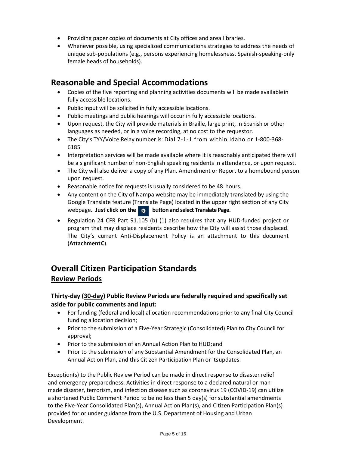- Providing paper copies of documents at City offices and area libraries.
- Whenever possible, using specialized communications strategies to address the needs of unique sub-populations (e.g., persons experiencing homelessness, Spanish-speaking-only female heads of households).

### **Reasonable and Special Accommodations**

- Copies of the five reporting and planning activities documents will be made availablein fully accessible locations.
- Public input will be solicited in fully accessible locations.
- Public meetings and public hearings will occur in fully accessible locations.
- Upon request, the City will provide materials in Braille, large print, in Spanish or other languages as needed, or in a voice recording, at no cost to the requestor.
- The City's TYY/Voice Relay number is: Dial 7-1-1 from within Idaho or 1-800-368- 6185
- Interpretation services will be made available where it is reasonably anticipated there will be a significant number of non-English speaking residents in attendance, or upon request.
- The City will also deliver a copy of any Plan, Amendment or Report to a homebound person upon request.
- Reasonable notice for requests is usually considered to be 48 hours.
- Any content on the City of Nampa website may be immediately translated by using the Google Translate feature (Translate Page) located in the upper right section of any City webpage**. Just click on the button and select Translate Page.**
- Regulation 24 CFR Part 91.105 (b) (1) also requires that any HUD-funded project or program that may displace residents describe how the City will assist those displaced. The City's current Anti-Displacement Policy is an attachment to this document (**AttachmentC**).

## **Overall Citizen Participation Standards Review Periods**

#### **Thirty-day (30-day) Public Review Periods are federally required and specifically set aside for public comments and input:**

- For funding (federal and local) allocation recommendations prior to any final City Council funding allocation decision;
- Prior to the submission of a Five-Year Strategic (Consolidated) Plan to City Council for approval;
- Prior to the submission of an Annual Action Plan to HUD;and
- Prior to the submission of any Substantial Amendment for the Consolidated Plan, an Annual Action Plan, and this Citizen Participation Plan or itsupdates.

 Exception(s) to the Public Review Period can be made in direct response to disaster relief and emergency preparedness. Activities in direct response to a declared natural or man made disaster, terrorism, and infection disease such as coronavirus 19 (COVID-19) can utilize a shortened Public Comment Period to be no less than 5 day(s) for substantial amendments to the Five-Year Consolidated Plan(s), Annual Action Plan(s), and Citizen Participation Plan(s) provided for or under guidance from the U.S. Department of Housing and Urban Development.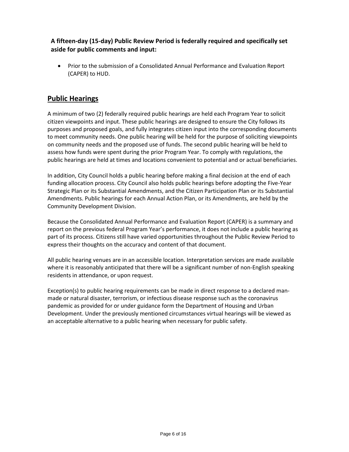#### **A fifteen-day (15-day) Public Review Period is federally required and specifically set aside for public comments and input:**

• Prior to the submission of a Consolidated Annual Performance and Evaluation Report (CAPER) to HUD.

### **Public Hearings**

A minimum of two (2) federally required public hearings are held each Program Year to solicit citizen viewpoints and input. These public hearings are designed to ensure the City follows its purposes and proposed goals, and fully integrates citizen input into the corresponding documents to meet community needs. One public hearing will be held for the purpose of soliciting viewpoints on community needs and the proposed use of funds. The second public hearing will be held to assess how funds were spent during the prior Program Year. To comply with regulations, the public hearings are held at times and locations convenient to potential and or actual beneficiaries.

In addition, City Council holds a public hearing before making a final decision at the end of each funding allocation process. City Council also holds public hearings before adopting the Five-Year Strategic Plan or its Substantial Amendments, and the Citizen Participation Plan or its Substantial Amendments. Public hearings for each Annual Action Plan, or its Amendments, are held by the Community Development Division.

Because the Consolidated Annual Performance and Evaluation Report (CAPER) is a summary and report on the previous federal Program Year's performance, it does not include a public hearing as part of its process. Citizens still have varied opportunities throughout the Public Review Period to express their thoughts on the accuracy and content of that document.

All public hearing venues are in an accessible location. Interpretation services are made available where it is reasonably anticipated that there will be a significant number of non-English speaking residents in attendance, or upon request.

Exception(s) to public hearing requirements can be made in direct response to a declared manmade or natural disaster, terrorism, or infectious disease response such as the coronavirus pandemic as provided for or under guidance form the Department of Housing and Urban Development. Under the previously mentioned circumstances virtual hearings will be viewed as an acceptable alternative to a public hearing when necessary for public safety.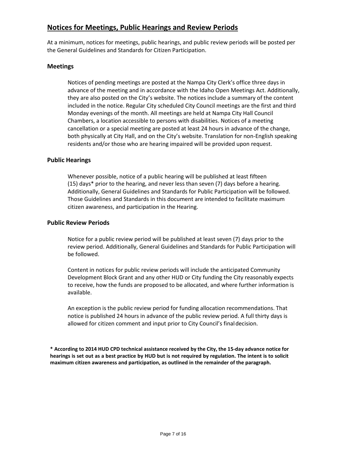### **Notices for Meetings, Public Hearings and Review Periods**

At a minimum, notices for meetings, public hearings, and public review periods will be posted per the General Guidelines and Standards for Citizen Participation.

#### **Meetings**

Notices of pending meetings are posted at the Nampa City Clerk's office three days in advance of the meeting and in accordance with the Idaho Open Meetings Act. Additionally, they are also posted on the City's website. The notices include a summary of the content included in the notice. Regular City scheduled City Council meetings are the first and third Monday evenings of the month. All meetings are held at Nampa City Hall Council Chambers, a location accessible to persons with disabilities. Notices of a meeting cancellation or a special meeting are posted at least 24 hours in advance of the change, both physically at City Hall, and on the City's website. Translation for non-English speaking residents and/or those who are hearing impaired will be provided upon request.

#### **Public Hearings**

Whenever possible, notice of a public hearing will be published at least fifteen (15) days\* prior to the hearing, and never less than seven (7) days before a hearing. Additionally, General Guidelines and Standards for Public Participation will be followed. Those Guidelines and Standards in this document are intended to facilitate maximum citizen awareness, and participation in the Hearing.

#### **Public Review Periods**

Notice for a public review period will be published at least seven (7) days prior to the review period. Additionally, General Guidelines and Standards for Public Participation will be followed.

Content in notices for public review periods will include the anticipated Community Development Block Grant and any other HUD or City funding the City reasonably expects to receive, how the funds are proposed to be allocated, and where further information is available.

An exception is the public review period for funding allocation recommendations. That notice is published 24 hours in advance of the public review period. A full thirty days is allowed for citizen comment and input prior to City Council's finaldecision.

**\* According to 2014 HUD CPD technical assistance received by the City, the 15-day advance notice for hearings is set out as a best practice by HUD but is not required by regulation. The intent is to solicit maximum citizen awareness and participation, as outlined in the remainder of the paragraph.**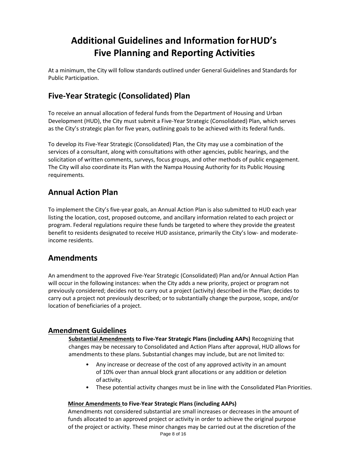## **Additional Guidelines and Information forHUD's Five Planning and Reporting Activities**

At a minimum, the City will follow standards outlined under General Guidelines and Standards for Public Participation.

## **Five-Year Strategic (Consolidated) Plan**

To receive an annual allocation of federal funds from the Department of Housing and Urban Development (HUD), the City must submit a Five-Year Strategic (Consolidated) Plan, which serves as the City's strategic plan for five years, outlining goals to be achieved with its federal funds.

To develop its Five-Year Strategic (Consolidated) Plan, the City may use a combination of the services of a consultant, along with consultations with other agencies, public hearings, and the solicitation of written comments, surveys, focus groups, and other methods of public engagement. The City will also coordinate its Plan with the Nampa Housing Authority for its Public Housing requirements.

### **Annual Action Plan**

To implement the City's five-year goals, an Annual Action Plan is also submitted to HUD each year listing the location, cost, proposed outcome, and ancillary information related to each project or program. Federal regulations require these funds be targeted to where they provide the greatest benefit to residents designated to receive HUD assistance, primarily the City's low- and moderateincome residents.

### **Amendments**

An amendment to the approved Five-Year Strategic (Consolidated) Plan and/or Annual Action Plan will occur in the following instances: when the City adds a new priority, project or program not previously considered; decides not to carry out a project (activity) described in the Plan; decides to carry out a project not previously described; or to substantially change the purpose, scope, and/or location of beneficiaries of a project.

### **Amendment Guidelines**

**Substantial Amendments to Five-Year Strategic Plans (including AAPs)** Recognizing that changes may be necessary to Consolidated and Action Plans after approval, HUD allows for amendments to these plans. Substantial changes may include, but are not limited to:

- Any increase or decrease of the cost of any approved activity in an amount of 10% over than annual block grant allocations or any addition or deletion of activity.
- These potential activity changes must be in line with the Consolidated Plan Priorities.

#### **Minor Amendments to Five-Year Strategic Plans (including AAPs)**

Amendments not considered substantial are small increases or decreases in the amount of funds allocated to an approved project or activity in order to achieve the original purpose of the project or activity. These minor changes may be carried out at the discretion of the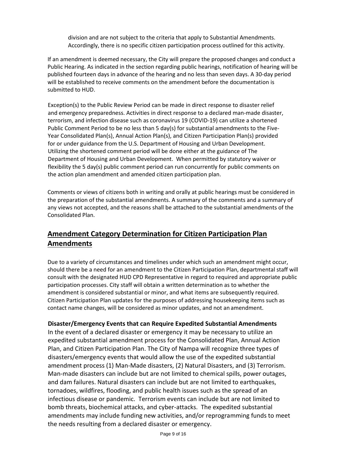division and are not subject to the criteria that apply to Substantial Amendments. Accordingly, there is no specific citizen participation process outlined for this activity.

If an amendment is deemed necessary, the City will prepare the proposed changes and conduct a Public Hearing. As indicated in the section regarding public hearings, notification of hearing will be published fourteen days in advance of the hearing and no less than seven days. A 30-day period will be established to receive comments on the amendment before the documentation is submitted to HUD.

 Exception(s) to the Public Review Period can be made in direct response to disaster relief and emergency preparedness. Activities in direct response to a declared man-made disaster, terrorism, and infection disease such as coronavirus 19 (COVID-19) can utilize a shortened Public Comment Period to be no less than 5 day(s) for substantial amendments to the Five- Year Consolidated Plan(s), Annual Action Plan(s), and Citizen Participation Plan(s) provided for or under guidance from the U.S. Department of Housing and Urban Development. Utilizing the shortened comment period will be done either at the guidance of The Department of Housing and Urban Development. When permitted by statutory waiver or flexibility the 5 day(s) public comment period can run concurrently for public comments on the action plan amendment and amended citizen participation plan.

Comments or views of citizens both in writing and orally at public hearings must be considered in the preparation of the substantial amendments. A summary of the comments and a summary of any views not accepted, and the reasons shall be attached to the substantial amendments of the Consolidated Plan.

### **Amendment Category Determination for Citizen Participation Plan Amendments**

Due to a variety of circumstances and timelines under which such an amendment might occur, should there be a need for an amendment to the Citizen Participation Plan, departmental staff will consult with the designated HUD CPD Representative in regard to required and appropriate public participation processes. City staff will obtain a written determination as to whether the amendment is considered substantial or minor, and what items are subsequently required. Citizen Participation Plan updates for the purposes of addressing housekeeping items such as contact name changes, will be considered as minor updates, and not an amendment.

#### **Disaster/Emergency Events that can Require Expedited Substantial Amendments**

 In the event of a declared disaster or emergency it may be necessary to utilize an expedited substantial amendment process for the Consolidated Plan, Annual Action Plan, and Citizen Participation Plan. The City of Nampa will recognize three types of disasters/emergency events that would allow the use of the expedited substantial amendment process (1) Man-Made disasters, (2) Natural Disasters, and (3) Terrorism. Man-made disasters can include but are not limited to chemical spills, power outages, and dam failures. Natural disasters can include but are not limited to earthquakes, tornadoes, wildfires, flooding, and public health issues such as the spread of an infectious disease or pandemic. Terrorism events can include but are not limited to bomb threats, biochemical attacks, and cyber-attacks. The expedited substantial amendments may include funding new activities, and/or reprogramming funds to meet the needs resulting from a declared disaster or emergency.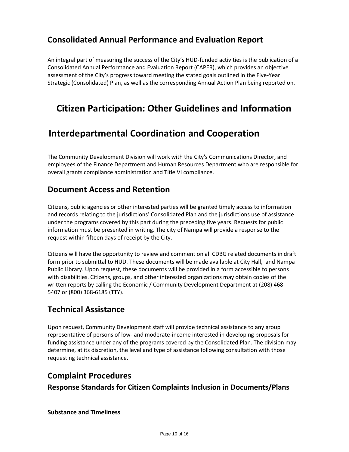## **Consolidated Annual Performance and Evaluation Report**

An integral part of measuring the success of the City's HUD-funded activities is the publication of a Consolidated Annual Performance and Evaluation Report (CAPER), which provides an objective assessment of the City's progress toward meeting the stated goals outlined in the Five-Year Strategic (Consolidated) Plan, as well as the corresponding Annual Action Plan being reported on.

## **Citizen Participation: Other Guidelines and Information**

## **Interdepartmental Coordination and Cooperation**

The Community Development Division will work with the City's Communications Director, and employees of the Finance Department and Human Resources Department who are responsible for overall grants compliance administration and Title VI compliance.

### **Document Access and Retention**

Citizens, public agencies or other interested parties will be granted timely access to information and records relating to the jurisdictions' Consolidated Plan and the jurisdictions use of assistance under the programs covered by this part during the preceding five years. Requests for public information must be presented in writing. The city of Nampa will provide a response to the request within fifteen days of receipt by the City.

Citizens will have the opportunity to review and comment on all CDBG related documents in draft form prior to submittal to HUD. These documents will be made available at City Hall, and Nampa Public Library. Upon request, these documents will be provided in a form accessible to persons with disabilities. Citizens, groups, and other interested organizations may obtain copies of the written reports by calling the Economic / Community Development Department at (208) 468- 5407 or (800) 368-6185 (TTY).

## **Technical Assistance**

Upon request, Community Development staff will provide technical assistance to any group representative of persons of low- and moderate-income interested in developing proposals for funding assistance under any of the programs covered by the Consolidated Plan. The division may determine, at its discretion, the level and type of assistance following consultation with those requesting technical assistance.

### **Complaint Procedures**

### **Response Standards for Citizen Complaints Inclusion in Documents/Plans**

#### **Substance and Timeliness**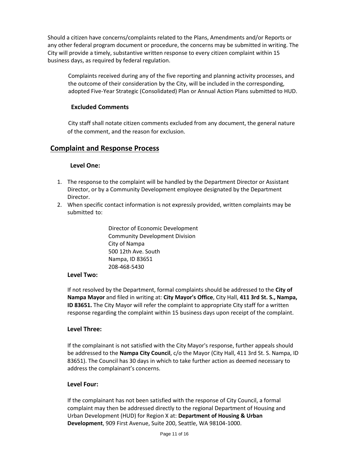Should a citizen have concerns/complaints related to the Plans, Amendments and/or Reports or any other federal program document or procedure, the concerns may be submitted in writing. The City will provide a timely, substantive written response to every citizen complaint within 15 business days, as required by federal regulation.

Complaints received during any of the five reporting and planning activity processes, and the outcome of their consideration by the City, will be included in the corresponding, adopted Five-Year Strategic (Consolidated) Plan or Annual Action Plans submitted to HUD.

#### **Excluded Comments**

City staff shall notate citizen comments excluded from any document, the general nature of the comment, and the reason for exclusion.

### **Complaint and Response Process**

#### **Level One:**

- 1. The response to the complaint will be handled by the Department Director or Assistant Director, or by a Community Development employee designated by the Department Director.
- 2. When specific contact information is not expressly provided, written complaints may be submitted to:

Director of Economic Development Community Development Division City of Nampa 500 12th Ave. South Nampa, ID 83651 208-468-5430

#### **Level Two:**

If not resolved by the Department, formal complaints should be addressed to the **City of Nampa Mayor** and filed in writing at: **City Mayor's Office**, City Hall, **411 3rd St. S., Nampa, ID 83651.** The City Mayor will refer the complaint to appropriate City staff for a written response regarding the complaint within 15 business days upon receipt of the complaint.

#### **Level Three:**

If the complainant is not satisfied with the City Mayor's response, further appeals should be addressed to the **Nampa City Council**, c/o the Mayor (City Hall, 411 3rd St. S. Nampa, ID 83651). The Council has 30 days in which to take further action as deemed necessary to address the complainant's concerns.

#### **Level Four:**

If the complainant has not been satisfied with the response of City Council, a formal complaint may then be addressed directly to the regional Department of Housing and Urban Development (HUD) for Region X at: **Department of Housing & Urban Development**, 909 First Avenue, Suite 200, Seattle, WA 98104-1000.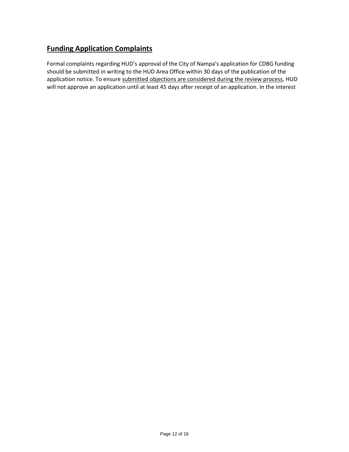## **Funding Application Complaints**

Formal complaints regarding HUD's approval of the City of Nampa's application for CDBG funding should be submitted in writing to the HUD Area Office within 30 days of the publication of the application notice. To ensure submitted objections are considered during the review process, HUD will not approve an application until at least 45 days after receipt of an application. In the interest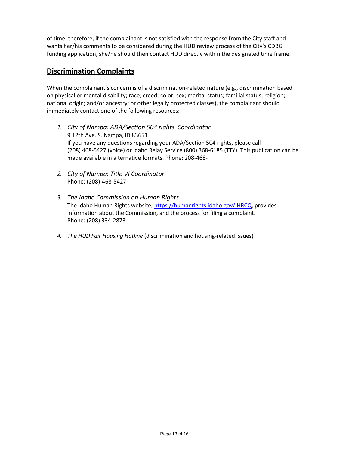of time, therefore, if the complainant is not satisfied with the response from the City staff and wants her/his comments to be considered during the HUD review process of the City's CDBG funding application, she/he should then contact HUD directly within the designated time frame.

#### **Discrimination Complaints**

When the complainant's concern is of a discrimination-related nature (e.g., discrimination based on physical or mental disability; race; creed; color; sex; marital status; familial status; religion; national origin; and/or ancestry; or other legally protected classes), the complainant should immediately contact one of the following resources:

- *1. City of Nampa: ADA/Section 504 rights Coordinator* 9 12th Ave. S. Nampa, ID 83651 If you have any questions regarding your ADA/Section 504 rights, please call (208) 468-5427 (voice) or Idaho Relay Service (800) 368-6185 (TTY). This publication can be made available in alternative formats. Phone: 208-468-
- *2. City of Nampa: Title VI Coordinator* Phone: (208)-468-5427
- *3. The Idaho Commission on Human Rights* The Idaho Human Rights website[, https://humanrights.idaho.gov/IHRCQ, p](http://www.dora.state.co.us/civil-rights)rovides information about the Commission, and the process for filing a complaint. Phone: (208) 334-2873
- *4. The HUD Fair Housing Hotline* (discrimination and housing-related issues)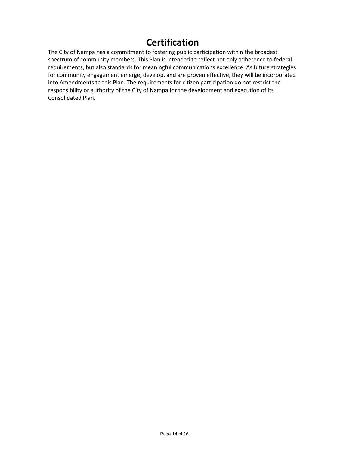## **Certification**

The City of Nampa has a commitment to fostering public participation within the broadest spectrum of community members. This Plan is intended to reflect not only adherence to federal requirements, but also standards for meaningful communications excellence. As future strategies for community engagement emerge, develop, and are proven effective, they will be incorporated into Amendments to this Plan. The requirements for citizen participation do not restrict the responsibility or authority of the City of Nampa for the development and execution of its Consolidated Plan.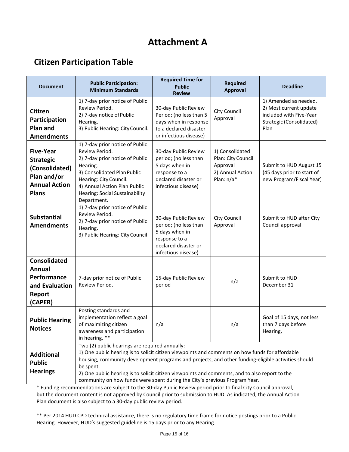## **Attachment A**

## **Citizen Participation Table**

| <b>Document</b>                                                                                               | <b>Public Participation:</b><br><b>Minimum Standards</b>                                                                                                                                                                                                                                                                                                                                                                                             | <b>Required Time for</b><br><b>Public</b><br><b>Review</b>                                                                      | <b>Required</b><br><b>Approval</b>                                                  | <b>Deadline</b>                                                                                                |
|---------------------------------------------------------------------------------------------------------------|------------------------------------------------------------------------------------------------------------------------------------------------------------------------------------------------------------------------------------------------------------------------------------------------------------------------------------------------------------------------------------------------------------------------------------------------------|---------------------------------------------------------------------------------------------------------------------------------|-------------------------------------------------------------------------------------|----------------------------------------------------------------------------------------------------------------|
| <b>Citizen</b><br>Participation<br>Plan and<br><b>Amendments</b>                                              | 1) 7-day prior notice of Public<br>Review Period.<br>2) 7-day notice of Public<br>Hearing.<br>3) Public Hearing: City Council.                                                                                                                                                                                                                                                                                                                       | 30-day Public Review<br>Period; (no less than 5<br>days when in response<br>to a declared disaster<br>or infectious disease)    | City Council<br>Approval                                                            | 1) Amended as needed.<br>2) Most current update<br>included with Five-Year<br>Strategic (Consolidated)<br>Plan |
| <b>Five-Year</b><br><b>Strategic</b><br>(Consolidated)<br>Plan and/or<br><b>Annual Action</b><br><b>Plans</b> | 1) 7-day prior notice of Public<br>Review Period.<br>2) 7-day prior notice of Public<br>Hearing.<br>3) Consolidated Plan Public<br>Hearing: City Council.<br>4) Annual Action Plan Public<br><b>Hearing: Social Sustainability</b><br>Department.                                                                                                                                                                                                    | 30-day Public Review<br>period; (no less than<br>5 days when in<br>response to a<br>declared disaster or<br>infectious disease) | 1) Consolidated<br>Plan: City Council<br>Approval<br>2) Annual Action<br>Plan: n/a* | Submit to HUD August 15<br>(45 days prior to start of<br>new Program/Fiscal Year)                              |
| <b>Substantial</b><br><b>Amendments</b>                                                                       | 1) 7-day prior notice of Public<br>Review Period.<br>2) 7-day prior notice of Public<br>Hearing.<br>3) Public Hearing: City Council                                                                                                                                                                                                                                                                                                                  | 30-day Public Review<br>period; (no less than<br>5 days when in<br>response to a<br>declared disaster or<br>infectious disease) | City Council<br>Approval                                                            | Submit to HUD after City<br>Council approval                                                                   |
| <b>Consolidated</b><br><b>Annual</b><br>Performance<br>and Evaluation<br>Report<br>(CAPER)                    | 7-day prior notice of Public<br>Review Period.                                                                                                                                                                                                                                                                                                                                                                                                       | 15-day Public Review<br>period                                                                                                  | n/a                                                                                 | Submit to HUD<br>December 31                                                                                   |
| <b>Public Hearing</b><br><b>Notices</b>                                                                       | Posting standards and<br>implementation reflect a goal<br>of maximizing citizen<br>awareness and participation<br>in hearing. **                                                                                                                                                                                                                                                                                                                     | n/a                                                                                                                             | n/a                                                                                 | Goal of 15 days, not less<br>than 7 days before<br>Hearing,                                                    |
| <b>Additional</b><br><b>Public</b><br><b>Hearings</b>                                                         | Two (2) public hearings are required annually:<br>1) One public hearing is to solicit citizen viewpoints and comments on how funds for affordable<br>housing, community development programs and projects, and other funding-eligible activities should<br>be spent.<br>2) One public hearing is to solicit citizen viewpoints and comments, and to also report to the<br>community on how funds were spent during the City's previous Program Year. |                                                                                                                                 |                                                                                     |                                                                                                                |

\* Funding recommendations are subject to the 30-day Public Review period prior to final City Council approval, but the document content is not approved by Council prior to submission to HUD. As indicated, the Annual Action Plan document is also subject to a 30-day public review period.

\*\* Per 2014 HUD CPD technical assistance, there is no regulatory time frame for notice postings prior to a Public Hearing. However, HUD's suggested guideline is 15 days prior to any Hearing.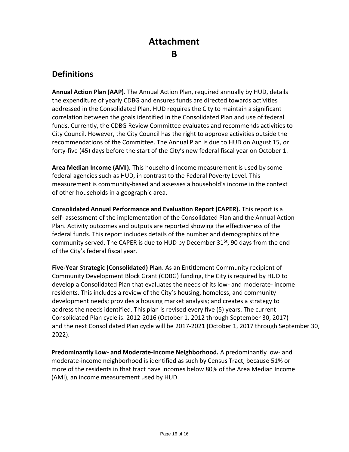# **Attachment**

### **B**

## **Definitions**

**Annual Action Plan (AAP).** The Annual Action Plan, required annually by HUD, details the expenditure of yearly CDBG and ensures funds are directed towards activities addressed in the Consolidated Plan. HUD requires the City to maintain a significant correlation between the goals identified in the Consolidated Plan and use of federal funds. Currently, the CDBG Review Committee evaluates and recommends activities to City Council. However, the City Council has the right to approve activities outside the recommendations of the Committee. The Annual Plan is due to HUD on August 15, or forty-five (45) days before the start of the City's new federal fiscal year on October 1.

**Area Median Income (AMI).** This household income measurement is used by some federal agencies such as HUD, in contrast to the Federal Poverty Level. This measurement is community-based and assesses a household's income in the context of other households in a geographic area.

**Consolidated Annual Performance and Evaluation Report (CAPER).** This report is a self- assessment of the implementation of the Consolidated Plan and the Annual Action Plan. Activity outcomes and outputs are reported showing the effectiveness of the federal funds. This report includes details of the number and demographics of the community served. The CAPER is due to HUD by December  $31<sup>st</sup>$ , 90 days from the end of the City's federal fiscal year.

**Five-Year Strategic (Consolidated) Plan**. As an Entitlement Community recipient of Community Development Block Grant (CDBG) funding, the City is required by HUD to develop a Consolidated Plan that evaluates the needs of its low- and moderate- income residents. This includes a review of the City's housing, homeless, and community development needs; provides a housing market analysis; and creates a strategy to address the needs identified. This plan is revised every five (5) years. The current Consolidated Plan cycle is: 2012-2016 (October 1, 2012 through September 30, 2017) and the next Consolidated Plan cycle will be 2017-2021 (October 1, 2017 through September 30, 2022).

**Predominantly Low- and Moderate-Income Neighborhood.** A predominantly low- and moderate-income neighborhood is identified as such by Census Tract, because 51% or more of the residents in that tract have incomes below 80% of the Area Median Income (AMI), an income measurement used by HUD.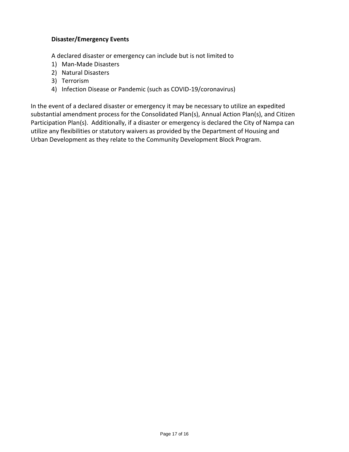#### **Disaster/Emergency Events**

A declared disaster or emergency can include but is not limited to

- 1) Man-Made Disasters
- 2) Natural Disasters
- 3) Terrorism
- 4) Infection Disease or Pandemic (such as COVID-19/coronavirus)

In the event of a declared disaster or emergency it may be necessary to utilize an expedited substantial amendment process for the Consolidated Plan(s), Annual Action Plan(s), and Citizen Participation Plan(s). Additionally, if a disaster or emergency is declared the City of Nampa can utilize any flexibilities or statutory waivers as provided by the Department of Housing and Urban Development as they relate to the Community Development Block Program.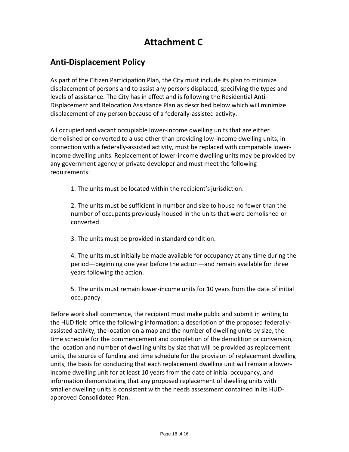## **Attachment C**

## **Anti-Displacement Policy**

As part of the Citizen Participation Plan, the City must include its plan to minimize displacement of persons and to assist any persons displaced, specifying the types and levels of assistance. The City has in effect and is following the Residential Anti-Displacement and Relocation Assistance Plan as described below which will minimize displacement of any person because of a federally-assisted activity.

All occupied and vacant occupiable lower-income dwelling units that are either demolished or converted to a use other than providing low-income dwelling units, in connection with a federally-assisted activity, must be replaced with comparable lowerincome dwelling units. Replacement of lower-income dwelling units may be provided by any government agency or private developer and must meet the following requirements:

1. The units must be located within the recipient's jurisdiction.

2. The units must be sufficient in number and size to house no fewer than the number of occupants previously housed in the units that were demolished or converted.

3. The units must be provided in standard condition.

4. The units must initially be made available for occupancy at any time during the period—beginning one year before the action—and remain available for three years following the action.

5. The units must remain lower-income units for 10 years from the date of initial occupancy.

Before work shall commence, the recipient must make public and submit in writing to the HUD field office the following information: a description of the proposed federallyassisted activity, the location on a map and the number of dwelling units by size, the time schedule for the commencement and completion of the demolition or conversion, the location and number of dwelling units by size that will be provided as replacement units, the source of funding and time schedule for the provision of replacement dwelling units, the basis for concluding that each replacement dwelling unit will remain a lowerincome dwelling unit for at least 10 years from the date of initial occupancy, and information demonstrating that any proposed replacement of dwelling units with smaller dwelling units is consistent with the needs assessment contained in its HUDapproved Consolidated Plan.